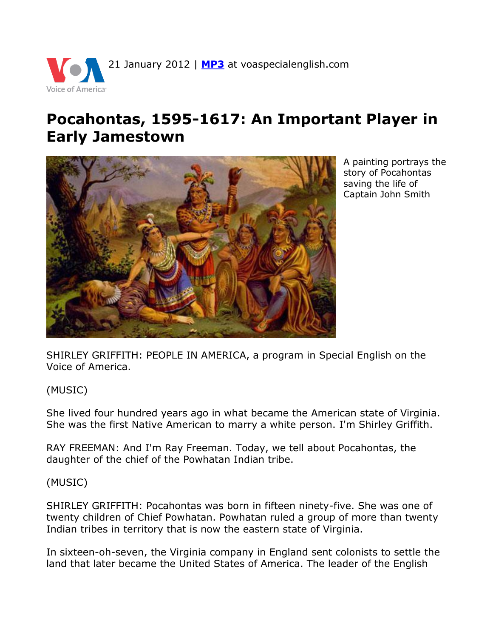

## **Pocahontas, 1595-1617: An Important Player in Early Jamestown**



A painting portrays the story of Pocahontas saving the life of Captain John Smith

SHIRLEY GRIFFITH: PEOPLE IN AMERICA, a program in Special English on the Voice of America.

(MUSIC)

She lived four hundred years ago in what became the American state of Virginia. She was the first Native American to marry a white person. I'm Shirley Griffith.

RAY FREEMAN: And I'm Ray Freeman. Today, we tell about Pocahontas, the daughter of the chief of the Powhatan Indian tribe.

(MUSIC)

SHIRLEY GRIFFITH: Pocahontas was born in fifteen ninety-five. She was one of twenty children of Chief Powhatan. Powhatan ruled a group of more than twenty Indian tribes in territory that is now the eastern state of Virginia.

In sixteen-oh-seven, the Virginia company in England sent colonists to settle the land that later became the United States of America. The leader of the English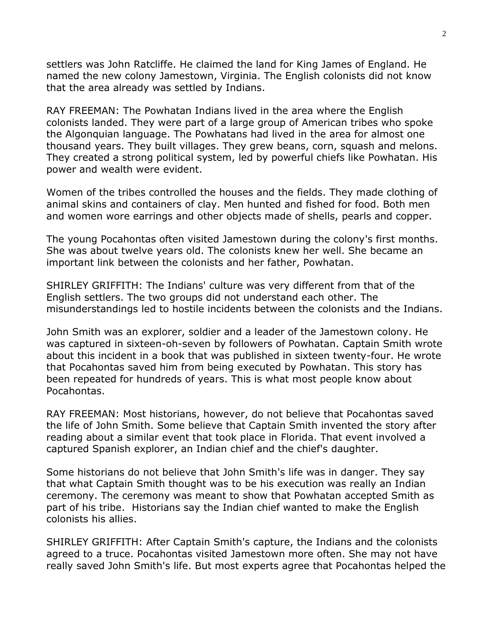settlers was John Ratcliffe. He claimed the land for King James of England. He named the new colony Jamestown, Virginia. The English colonists did not know that the area already was settled by Indians.

RAY FREEMAN: The Powhatan Indians lived in the area where the English colonists landed. They were part of a large group of American tribes who spoke the Algonquian language. The Powhatans had lived in the area for almost one thousand years. They built villages. They grew beans, corn, squash and melons. They created a strong political system, led by powerful chiefs like Powhatan. His power and wealth were evident.

Women of the tribes controlled the houses and the fields. They made clothing of animal skins and containers of clay. Men hunted and fished for food. Both men and women wore earrings and other objects made of shells, pearls and copper.

The young Pocahontas often visited Jamestown during the colony's first months. She was about twelve years old. The colonists knew her well. She became an important link between the colonists and her father, Powhatan.

SHIRLEY GRIFFITH: The Indians' culture was very different from that of the English settlers. The two groups did not understand each other. The misunderstandings led to hostile incidents between the colonists and the Indians.

John Smith was an explorer, soldier and a leader of the Jamestown colony. He was captured in sixteen-oh-seven by followers of Powhatan. Captain Smith wrote about this incident in a book that was published in sixteen twenty-four. He wrote that Pocahontas saved him from being executed by Powhatan. This story has been repeated for hundreds of years. This is what most people know about Pocahontas.

RAY FREEMAN: Most historians, however, do not believe that Pocahontas saved the life of John Smith. Some believe that Captain Smith invented the story after reading about a similar event that took place in Florida. That event involved a captured Spanish explorer, an Indian chief and the chief's daughter.

Some historians do not believe that John Smith's life was in danger. They say that what Captain Smith thought was to be his execution was really an Indian ceremony. The ceremony was meant to show that Powhatan accepted Smith as part of his tribe. Historians say the Indian chief wanted to make the English colonists his allies.

SHIRLEY GRIFFITH: After Captain Smith's capture, the Indians and the colonists agreed to a truce. Pocahontas visited Jamestown more often. She may not have really saved John Smith's life. But most experts agree that Pocahontas helped the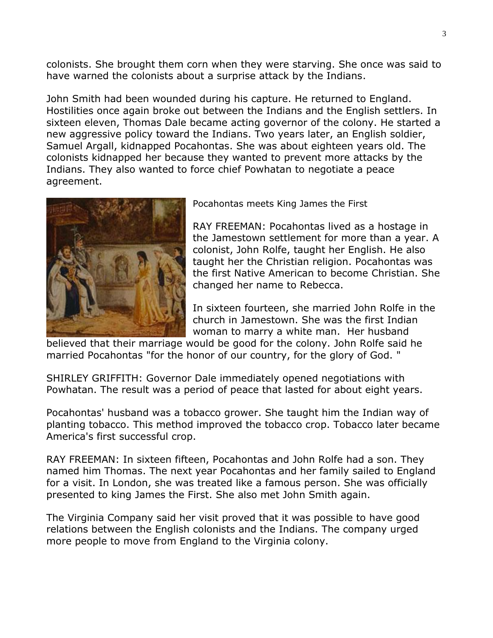colonists. She brought them corn when they were starving. She once was said to have warned the colonists about a surprise attack by the Indians.

John Smith had been wounded during his capture. He returned to England. Hostilities once again broke out between the Indians and the English settlers. In sixteen eleven, Thomas Dale became acting governor of the colony. He started a new aggressive policy toward the Indians. Two years later, an English soldier, Samuel Argall, kidnapped Pocahontas. She was about eighteen years old. The colonists kidnapped her because they wanted to prevent more attacks by the Indians. They also wanted to force chief Powhatan to negotiate a peace agreement.



Pocahontas meets King James the First

RAY FREEMAN: Pocahontas lived as a hostage in the Jamestown settlement for more than a year. A colonist, John Rolfe, taught her English. He also taught her the Christian religion. Pocahontas was the first Native American to become Christian. She changed her name to Rebecca.

In sixteen fourteen, she married John Rolfe in the church in Jamestown. She was the first Indian woman to marry a white man. Her husband

believed that their marriage would be good for the colony. John Rolfe said he married Pocahontas "for the honor of our country, for the glory of God. "

SHIRLEY GRIFFITH: Governor Dale immediately opened negotiations with Powhatan. The result was a period of peace that lasted for about eight years.

Pocahontas' husband was a tobacco grower. She taught him the Indian way of planting tobacco. This method improved the tobacco crop. Tobacco later became America's first successful crop.

RAY FREEMAN: In sixteen fifteen, Pocahontas and John Rolfe had a son. They named him Thomas. The next year Pocahontas and her family sailed to England for a visit. In London, she was treated like a famous person. She was officially presented to king James the First. She also met John Smith again.

The Virginia Company said her visit proved that it was possible to have good relations between the English colonists and the Indians. The company urged more people to move from England to the Virginia colony.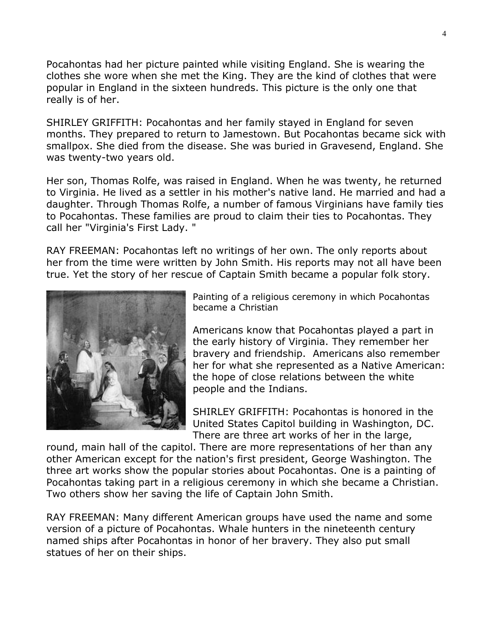Pocahontas had her picture painted while visiting England. She is wearing the clothes she wore when she met the King. They are the kind of clothes that were popular in England in the sixteen hundreds. This picture is the only one that really is of her.

SHIRLEY GRIFFITH: Pocahontas and her family stayed in England for seven months. They prepared to return to Jamestown. But Pocahontas became sick with smallpox. She died from the disease. She was buried in Gravesend, England. She was twenty-two years old.

Her son, Thomas Rolfe, was raised in England. When he was twenty, he returned to Virginia. He lived as a settler in his mother's native land. He married and had a daughter. Through Thomas Rolfe, a number of famous Virginians have family ties to Pocahontas. These families are proud to claim their ties to Pocahontas. They call her "Virginia's First Lady. "

RAY FREEMAN: Pocahontas left no writings of her own. The only reports about her from the time were written by John Smith. His reports may not all have been true. Yet the story of her rescue of Captain Smith became a popular folk story.



Painting of a religious ceremony in which Pocahontas became a Christian

Americans know that Pocahontas played a part in the early history of Virginia. They remember her bravery and friendship. Americans also remember her for what she represented as a Native American: the hope of close relations between the white people and the Indians.

SHIRLEY GRIFFITH: Pocahontas is honored in the United States Capitol building in Washington, DC. There are three art works of her in the large,

round, main hall of the capitol. There are more representations of her than any other American except for the nation's first president, George Washington. The three art works show the popular stories about Pocahontas. One is a painting of Pocahontas taking part in a religious ceremony in which she became a Christian. Two others show her saving the life of Captain John Smith.

RAY FREEMAN: Many different American groups have used the name and some version of a picture of Pocahontas. Whale hunters in the nineteenth century named ships after Pocahontas in honor of her bravery. They also put small statues of her on their ships.